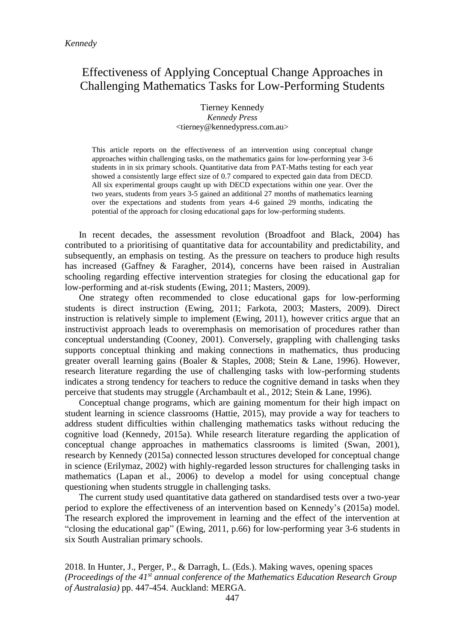# Effectiveness of Applying Conceptual Change Approaches in Challenging Mathematics Tasks for Low-Performing Students

Tierney Kennedy *Kennedy Press* <tierney@kennedypress.com.au>

This article reports on the effectiveness of an intervention using conceptual change approaches within challenging tasks, on the mathematics gains for low-performing year 3-6 students in in six primary schools. Quantitative data from PAT-Maths testing for each year showed a consistently large effect size of 0.7 compared to expected gain data from DECD. All six experimental groups caught up with DECD expectations within one year. Over the two years, students from years 3-5 gained an additional 27 months of mathematics learning over the expectations and students from years 4-6 gained 29 months, indicating the potential of the approach for closing educational gaps for low-performing students.

In recent decades, the assessment revolution (Broadfoot and Black, 2004) has contributed to a prioritising of quantitative data for accountability and predictability, and subsequently, an emphasis on testing. As the pressure on teachers to produce high results has increased (Gaffney & Faragher, 2014), concerns have been raised in Australian schooling regarding effective intervention strategies for closing the educational gap for low-performing and at-risk students (Ewing, 2011; Masters, 2009).

One strategy often recommended to close educational gaps for low-performing students is direct instruction (Ewing, 2011; Farkota, 2003; Masters, 2009). Direct instruction is relatively simple to implement (Ewing, 2011), however critics argue that an instructivist approach leads to overemphasis on memorisation of procedures rather than conceptual understanding (Cooney, 2001). Conversely, grappling with challenging tasks supports conceptual thinking and making connections in mathematics, thus producing greater overall learning gains (Boaler & Staples, 2008; Stein & Lane, 1996). However, research literature regarding the use of challenging tasks with low-performing students indicates a strong tendency for teachers to reduce the cognitive demand in tasks when they perceive that students may struggle (Archambault et al., 2012; Stein & Lane, 1996).

Conceptual change programs, which are gaining momentum for their high impact on student learning in science classrooms (Hattie, 2015), may provide a way for teachers to address student difficulties within challenging mathematics tasks without reducing the cognitive load (Kennedy, 2015a). While research literature regarding the application of conceptual change approaches in mathematics classrooms is limited (Swan, 2001), research by Kennedy (2015a) connected lesson structures developed for conceptual change in science (Erilymaz, 2002) with highly-regarded lesson structures for challenging tasks in mathematics (Lapan et al., 2006) to develop a model for using conceptual change questioning when students struggle in challenging tasks.

The current study used quantitative data gathered on standardised tests over a two-year period to explore the effectiveness of an intervention based on Kennedy's (2015a) model. The research explored the improvement in learning and the effect of the intervention at "closing the educational gap" (Ewing, 2011, p.66) for low-performing year 3-6 students in six South Australian primary schools.

2018. In Hunter, J., Perger, P., & Darragh, L. (Eds.). Making waves, opening spaces *(Proceedings of the 41st annual conference of the Mathematics Education Research Group of Australasia)* pp. 447-454. Auckland: MERGA.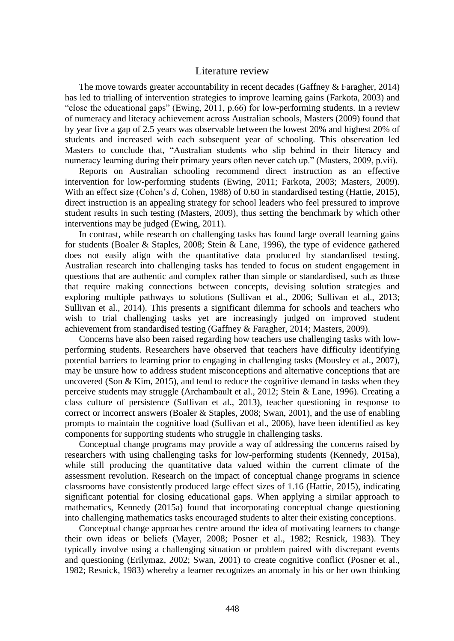# Literature review

The move towards greater accountability in recent decades (Gaffney & Faragher, 2014) has led to trialling of intervention strategies to improve learning gains (Farkota, 2003) and "close the educational gaps" (Ewing, 2011, p.66) for low-performing students. In a review of numeracy and literacy achievement across Australian schools, Masters (2009) found that by year five a gap of 2.5 years was observable between the lowest 20% and highest 20% of students and increased with each subsequent year of schooling. This observation led Masters to conclude that, "Australian students who slip behind in their literacy and numeracy learning during their primary years often never catch up." (Masters, 2009, p.vii).

Reports on Australian schooling recommend direct instruction as an effective intervention for low-performing students (Ewing, 2011; Farkota, 2003; Masters, 2009). With an effect size (Cohen's *d*, Cohen, 1988) of 0.60 in standardised testing (Hattie, 2015), direct instruction is an appealing strategy for school leaders who feel pressured to improve student results in such testing (Masters, 2009), thus setting the benchmark by which other interventions may be judged (Ewing, 2011).

In contrast, while research on challenging tasks has found large overall learning gains for students (Boaler & Staples, 2008; Stein & Lane, 1996), the type of evidence gathered does not easily align with the quantitative data produced by standardised testing. Australian research into challenging tasks has tended to focus on student engagement in questions that are authentic and complex rather than simple or standardised, such as those that require making connections between concepts, devising solution strategies and exploring multiple pathways to solutions (Sullivan et al., 2006; Sullivan et al., 2013; Sullivan et al., 2014). This presents a significant dilemma for schools and teachers who wish to trial challenging tasks yet are increasingly judged on improved student achievement from standardised testing (Gaffney & Faragher, 2014; Masters, 2009).

Concerns have also been raised regarding how teachers use challenging tasks with lowperforming students. Researchers have observed that teachers have difficulty identifying potential barriers to learning prior to engaging in challenging tasks (Mousley et al., 2007), may be unsure how to address student misconceptions and alternative conceptions that are uncovered (Son  $& Kim, 2015$ ), and tend to reduce the cognitive demand in tasks when they perceive students may struggle (Archambault et al., 2012; Stein & Lane, 1996). Creating a class culture of persistence (Sullivan et al., 2013), teacher questioning in response to correct or incorrect answers (Boaler & Staples, 2008; Swan, 2001), and the use of enabling prompts to maintain the cognitive load (Sullivan et al., 2006), have been identified as key components for supporting students who struggle in challenging tasks.

Conceptual change programs may provide a way of addressing the concerns raised by researchers with using challenging tasks for low-performing students (Kennedy, 2015a), while still producing the quantitative data valued within the current climate of the assessment revolution. Research on the impact of conceptual change programs in science classrooms have consistently produced large effect sizes of 1.16 (Hattie, 2015), indicating significant potential for closing educational gaps. When applying a similar approach to mathematics, Kennedy (2015a) found that incorporating conceptual change questioning into challenging mathematics tasks encouraged students to alter their existing conceptions.

Conceptual change approaches centre around the idea of motivating learners to change their own ideas or beliefs (Mayer, 2008; Posner et al., 1982; Resnick, 1983). They typically involve using a challenging situation or problem paired with discrepant events and questioning (Erilymaz, 2002; Swan, 2001) to create cognitive conflict (Posner et al., 1982; Resnick, 1983) whereby a learner recognizes an anomaly in his or her own thinking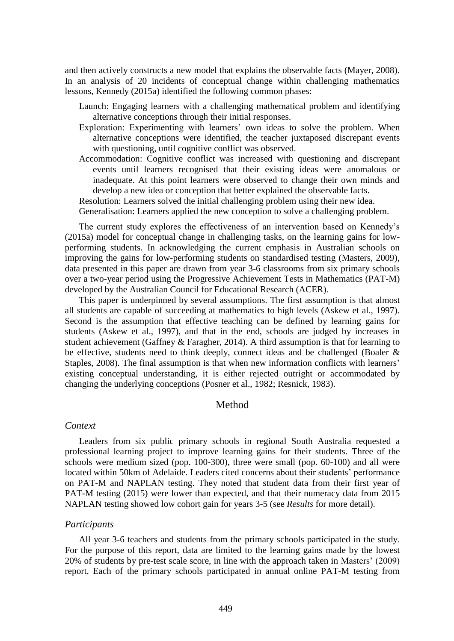and then actively constructs a new model that explains the observable facts (Mayer, 2008). In an analysis of 20 incidents of conceptual change within challenging mathematics lessons, Kennedy (2015a) identified the following common phases:

- Launch: Engaging learners with a challenging mathematical problem and identifying alternative conceptions through their initial responses.
- Exploration: Experimenting with learners' own ideas to solve the problem. When alternative conceptions were identified, the teacher juxtaposed discrepant events with questioning, until cognitive conflict was observed.
- Accommodation: Cognitive conflict was increased with questioning and discrepant events until learners recognised that their existing ideas were anomalous or inadequate. At this point learners were observed to change their own minds and develop a new idea or conception that better explained the observable facts.

Resolution: Learners solved the initial challenging problem using their new idea.

Generalisation: Learners applied the new conception to solve a challenging problem.

The current study explores the effectiveness of an intervention based on Kennedy's (2015a) model for conceptual change in challenging tasks, on the learning gains for lowperforming students. In acknowledging the current emphasis in Australian schools on improving the gains for low-performing students on standardised testing (Masters, 2009), data presented in this paper are drawn from year 3-6 classrooms from six primary schools over a two-year period using the Progressive Achievement Tests in Mathematics (PAT-M) developed by the Australian Council for Educational Research (ACER).

This paper is underpinned by several assumptions. The first assumption is that almost all students are capable of succeeding at mathematics to high levels (Askew et al., 1997). Second is the assumption that effective teaching can be defined by learning gains for students (Askew et al., 1997), and that in the end, schools are judged by increases in student achievement (Gaffney & Faragher, 2014). A third assumption is that for learning to be effective, students need to think deeply, connect ideas and be challenged (Boaler & Staples, 2008). The final assumption is that when new information conflicts with learners' existing conceptual understanding, it is either rejected outright or accommodated by changing the underlying conceptions (Posner et al., 1982; Resnick, 1983).

#### Method

#### *Context*

Leaders from six public primary schools in regional South Australia requested a professional learning project to improve learning gains for their students. Three of the schools were medium sized (pop. 100-300), three were small (pop. 60-100) and all were located within 50km of Adelaide. Leaders cited concerns about their students' performance on PAT-M and NAPLAN testing. They noted that student data from their first year of PAT-M testing (2015) were lower than expected, and that their numeracy data from 2015 NAPLAN testing showed low cohort gain for years 3-5 (see *Results* for more detail).

# *Participants*

All year 3-6 teachers and students from the primary schools participated in the study. For the purpose of this report, data are limited to the learning gains made by the lowest 20% of students by pre-test scale score, in line with the approach taken in Masters' (2009) report. Each of the primary schools participated in annual online PAT-M testing from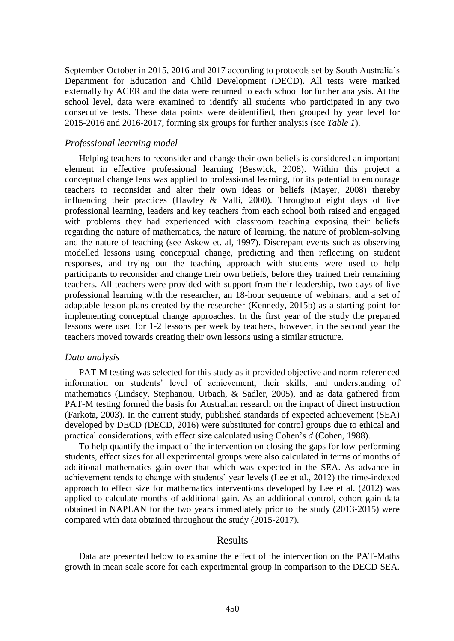September-October in 2015, 2016 and 2017 according to protocols set by South Australia's Department for Education and Child Development (DECD). All tests were marked externally by ACER and the data were returned to each school for further analysis. At the school level, data were examined to identify all students who participated in any two consecutive tests. These data points were deidentified, then grouped by year level for 2015-2016 and 2016-2017, forming six groups for further analysis (see *Table 1*).

#### *Professional learning model*

Helping teachers to reconsider and change their own beliefs is considered an important element in effective professional learning (Beswick, 2008). Within this project a conceptual change lens was applied to professional learning, for its potential to encourage teachers to reconsider and alter their own ideas or beliefs (Mayer, 2008) thereby influencing their practices (Hawley & Valli, 2000). Throughout eight days of live professional learning, leaders and key teachers from each school both raised and engaged with problems they had experienced with classroom teaching exposing their beliefs regarding the nature of mathematics, the nature of learning, the nature of problem-solving and the nature of teaching (see Askew et. al, 1997). Discrepant events such as observing modelled lessons using conceptual change, predicting and then reflecting on student responses, and trying out the teaching approach with students were used to help participants to reconsider and change their own beliefs, before they trained their remaining teachers. All teachers were provided with support from their leadership, two days of live professional learning with the researcher, an 18-hour sequence of webinars, and a set of adaptable lesson plans created by the researcher (Kennedy, 2015b) as a starting point for implementing conceptual change approaches. In the first year of the study the prepared lessons were used for 1-2 lessons per week by teachers, however, in the second year the teachers moved towards creating their own lessons using a similar structure.

#### *Data analysis*

PAT-M testing was selected for this study as it provided objective and norm-referenced information on students' level of achievement, their skills, and understanding of mathematics (Lindsey, Stephanou, Urbach, & Sadler, 2005), and as data gathered from PAT-M testing formed the basis for Australian research on the impact of direct instruction (Farkota, 2003). In the current study, published standards of expected achievement (SEA) developed by DECD (DECD, 2016) were substituted for control groups due to ethical and practical considerations, with effect size calculated using Cohen's *d* (Cohen, 1988).

To help quantify the impact of the intervention on closing the gaps for low-performing students, effect sizes for all experimental groups were also calculated in terms of months of additional mathematics gain over that which was expected in the SEA. As advance in achievement tends to change with students' year levels (Lee et al., 2012) the time-indexed approach to effect size for mathematics interventions developed by Lee et al. (2012) was applied to calculate months of additional gain. As an additional control, cohort gain data obtained in NAPLAN for the two years immediately prior to the study (2013-2015) were compared with data obtained throughout the study (2015-2017).

## Results

Data are presented below to examine the effect of the intervention on the PAT-Maths growth in mean scale score for each experimental group in comparison to the DECD SEA.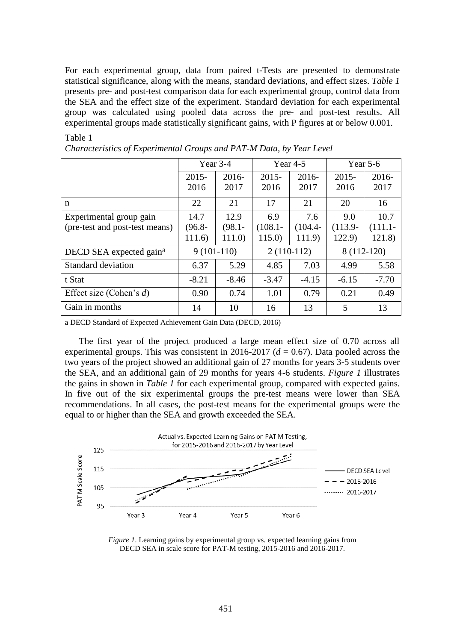For each experimental group, data from paired t-Tests are presented to demonstrate statistical significance, along with the means, standard deviations, and effect sizes. *Table 1* presents pre- and post-test comparison data for each experimental group, control data from the SEA and the effect size of the experiment. Standard deviation for each experimental group was calculated using pooled data across the pre- and post-test results. All experimental groups made statistically significant gains, with P figures at or below 0.001.

## Table 1

|                                     | Year 3-4     |           | Year $4-5$   |            | Year $5-6$  |            |
|-------------------------------------|--------------|-----------|--------------|------------|-------------|------------|
|                                     | $2015 -$     | $2016-$   | $2015 -$     | $2016-$    | $2015 -$    | $2016 -$   |
|                                     | 2016         | 2017      | 2016         | 2017       | 2016        | 2017       |
| n                                   | 22           | 21        | 17           | 21         | 20          | 16         |
| Experimental group gain             | 14.7         | 12.9      | 6.9          | 7.6        | 9.0         | 10.7       |
| (pre-test and post-test means)      | $(96.8 -$    | $(98.1 -$ | $(108.1 -$   | $(104.4 -$ | $(113.9 -$  | $(111.1 -$ |
|                                     | 111.6)       | 111.0     | 115.0        | 111.9)     | 122.9)      | 121.8      |
| DECD SEA expected gain <sup>a</sup> | $9(101-110)$ |           | $2(110-112)$ |            | 8 (112-120) |            |
| Standard deviation                  | 6.37         | 5.29      | 4.85         | 7.03       | 4.99        | 5.58       |
| t Stat                              | $-8.21$      | $-8.46$   | $-3.47$      | $-4.15$    | $-6.15$     | $-7.70$    |
| Effect size (Cohen's $d$ )          | 0.90         | 0.74      | 1.01         | 0.79       | 0.21        | 0.49       |
| Gain in months                      | 14           | 10        | 16           | 13         | 5           | 13         |

a DECD Standard of Expected Achievement Gain Data (DECD, 2016)

The first year of the project produced a large mean effect size of 0.70 across all experimental groups. This was consistent in 2016-2017 ( $d = 0.67$ ). Data pooled across the two years of the project showed an additional gain of 27 months for years 3-5 students over the SEA, and an additional gain of 29 months for years 4-6 students. *Figure 1* illustrates the gains in shown in *Table 1* for each experimental group, compared with expected gains. In five out of the six experimental groups the pre-test means were lower than SEA recommendations. In all cases, the post-test means for the experimental groups were the equal to or higher than the SEA and growth exceeded the SEA.



*Figure 1*. Learning gains by experimental group vs. expected learning gains from DECD SEA in scale score for PAT-M testing, 2015-2016 and 2016-2017.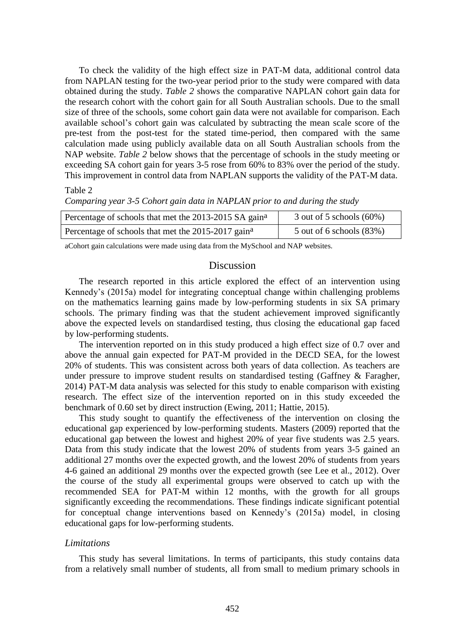To check the validity of the high effect size in PAT-M data, additional control data from NAPLAN testing for the two-year period prior to the study were compared with data obtained during the study. *Table 2* shows the comparative NAPLAN cohort gain data for the research cohort with the cohort gain for all South Australian schools. Due to the small size of three of the schools, some cohort gain data were not available for comparison. Each available school's cohort gain was calculated by subtracting the mean scale score of the pre-test from the post-test for the stated time-period, then compared with the same calculation made using publicly available data on all South Australian schools from the NAP website. *Table 2* below shows that the percentage of schools in the study meeting or exceeding SA cohort gain for years 3-5 rose from 60% to 83% over the period of the study. This improvement in control data from NAPLAN supports the validity of the PAT-M data.

#### Table 2

*Comparing year 3-5 Cohort gain data in NAPLAN prior to and during the study*

| Percentage of schools that met the 2013-2015 SA gain <sup>a</sup> | 3 out of 5 schools $(60\%)$ |
|-------------------------------------------------------------------|-----------------------------|
| Percentage of schools that met the 2015-2017 gain <sup>a</sup>    | 5 out of 6 schools $(83%)$  |

aCohort gain calculations were made using data from the MySchool and NAP websites.

# Discussion

The research reported in this article explored the effect of an intervention using Kennedy's (2015a) model for integrating conceptual change within challenging problems on the mathematics learning gains made by low-performing students in six SA primary schools. The primary finding was that the student achievement improved significantly above the expected levels on standardised testing, thus closing the educational gap faced by low-performing students.

The intervention reported on in this study produced a high effect size of 0.7 over and above the annual gain expected for PAT-M provided in the DECD SEA, for the lowest 20% of students. This was consistent across both years of data collection. As teachers are under pressure to improve student results on standardised testing (Gaffney & Faragher, 2014) PAT-M data analysis was selected for this study to enable comparison with existing research. The effect size of the intervention reported on in this study exceeded the benchmark of 0.60 set by direct instruction (Ewing, 2011; Hattie, 2015).

This study sought to quantify the effectiveness of the intervention on closing the educational gap experienced by low-performing students. Masters (2009) reported that the educational gap between the lowest and highest 20% of year five students was 2.5 years. Data from this study indicate that the lowest 20% of students from years 3-5 gained an additional 27 months over the expected growth, and the lowest 20% of students from years 4-6 gained an additional 29 months over the expected growth (see Lee et al., 2012). Over the course of the study all experimental groups were observed to catch up with the recommended SEA for PAT-M within 12 months, with the growth for all groups significantly exceeding the recommendations. These findings indicate significant potential for conceptual change interventions based on Kennedy's (2015a) model, in closing educational gaps for low-performing students.

#### *Limitations*

This study has several limitations. In terms of participants, this study contains data from a relatively small number of students, all from small to medium primary schools in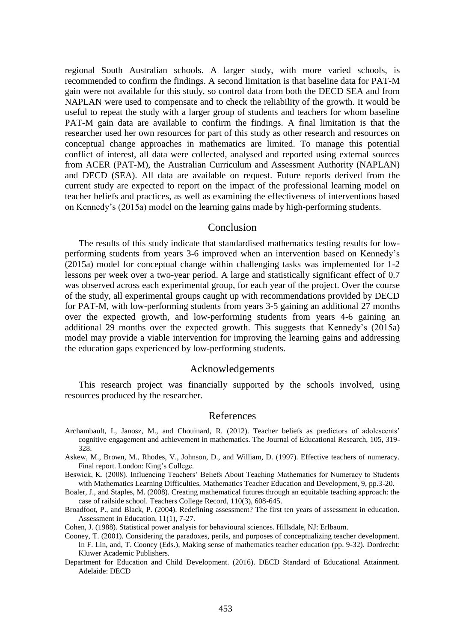regional South Australian schools. A larger study, with more varied schools, is recommended to confirm the findings. A second limitation is that baseline data for PAT-M gain were not available for this study, so control data from both the DECD SEA and from NAPLAN were used to compensate and to check the reliability of the growth. It would be useful to repeat the study with a larger group of students and teachers for whom baseline PAT-M gain data are available to confirm the findings. A final limitation is that the researcher used her own resources for part of this study as other research and resources on conceptual change approaches in mathematics are limited. To manage this potential conflict of interest, all data were collected, analysed and reported using external sources from ACER (PAT-M), the Australian Curriculum and Assessment Authority (NAPLAN) and DECD (SEA). All data are available on request. Future reports derived from the current study are expected to report on the impact of the professional learning model on teacher beliefs and practices, as well as examining the effectiveness of interventions based on Kennedy's (2015a) model on the learning gains made by high-performing students.

#### Conclusion

The results of this study indicate that standardised mathematics testing results for lowperforming students from years 3-6 improved when an intervention based on Kennedy's (2015a) model for conceptual change within challenging tasks was implemented for 1-2 lessons per week over a two-year period. A large and statistically significant effect of 0.7 was observed across each experimental group, for each year of the project. Over the course of the study, all experimental groups caught up with recommendations provided by DECD for PAT-M, with low-performing students from years 3-5 gaining an additional 27 months over the expected growth, and low-performing students from years 4-6 gaining an additional 29 months over the expected growth. This suggests that Kennedy's (2015a) model may provide a viable intervention for improving the learning gains and addressing the education gaps experienced by low-performing students.

## Acknowledgements

This research project was financially supported by the schools involved, using resources produced by the researcher.

# References

- Archambault, I., Janosz, M., and Chouinard, R. (2012). Teacher beliefs as predictors of adolescents' cognitive engagement and achievement in mathematics. The Journal of Educational Research, 105, 319- 328.
- Askew, M., Brown, M., Rhodes, V., Johnson, D., and William, D. (1997). Effective teachers of numeracy. Final report. London: King's College.
- Beswick, K. (2008). Influencing Teachers' Beliefs About Teaching Mathematics for Numeracy to Students with Mathematics Learning Difficulties, Mathematics Teacher Education and Development, 9, pp.3-20.
- Boaler, J., and Staples, M. (2008). Creating mathematical futures through an equitable teaching approach: the case of railside school. Teachers College Record, 110(3), 608-645.
- Broadfoot, P., and Black, P. (2004). Redefining assessment? The first ten years of assessment in education. Assessment in Education, 11(1), 7-27.
- Cohen, J. (1988). Statistical power analysis for behavioural sciences. Hillsdale, NJ: Erlbaum.
- Cooney, T. (2001). Considering the paradoxes, perils, and purposes of conceptualizing teacher development. In F. Lin, and, T. Cooney (Eds.), Making sense of mathematics teacher education (pp. 9-32). Dordrecht: Kluwer Academic Publishers.
- Department for Education and Child Development. (2016). DECD Standard of Educational Attainment. Adelaide: DECD